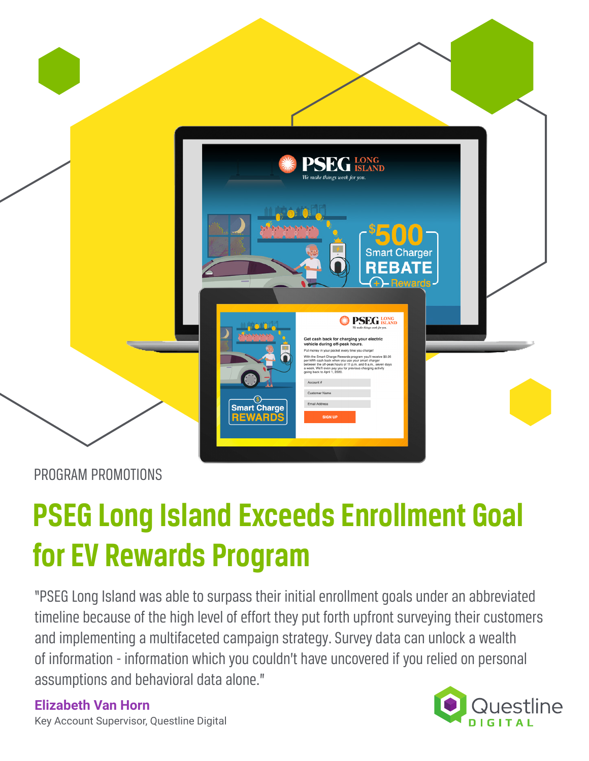

PROGRAM PROMOTIONS

# **PSEG Long Island Exceeds Enrollment Goal for EV Rewards Program**

"PSEG Long Island was able to surpass their initial enrollment goals under an abbreviated timeline because of the high level of effort they put forth upfront surveying their customers and implementing a multifaceted campaign strategy. Survey data can unlock a wealth of information - information which you couldn't have uncovered if you relied on personal assumptions and behavioral data alone."

**Elizabeth Van Horn**



Key Account Supervisor, Questline Digital